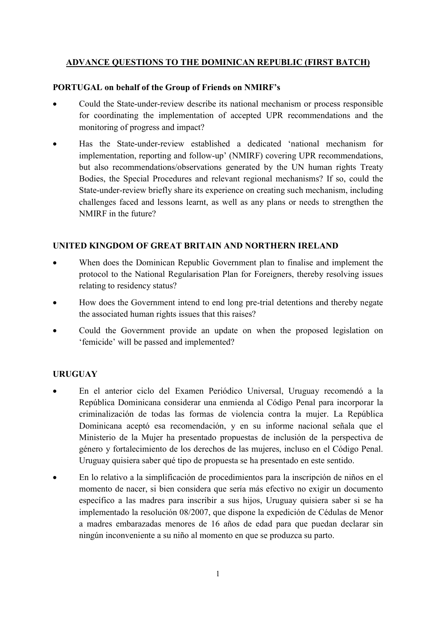### ADVANCE QUESTIONS TO THE DOMINICAN REPUBLIC (FIRST BATCH)

### PORTUGAL on behalf of the Group of Friends on NMIRF's

- Could the State-under-review describe its national mechanism or process responsible for coordinating the implementation of accepted UPR recommendations and the monitoring of progress and impact?
- Has the State-under-review established a dedicated 'national mechanism for implementation, reporting and follow-up' (NMIRF) covering UPR recommendations, but also recommendations/observations generated by the UN human rights Treaty Bodies, the Special Procedures and relevant regional mechanisms? If so, could the State-under-review briefly share its experience on creating such mechanism, including challenges faced and lessons learnt, as well as any plans or needs to strengthen the NMIRF in the future?

### UNITED KINGDOM OF GREAT BRITAIN AND NORTHERN IRELAND

- When does the Dominican Republic Government plan to finalise and implement the protocol to the National Regularisation Plan for Foreigners, thereby resolving issues relating to residency status?
- How does the Government intend to end long pre-trial detentions and thereby negate the associated human rights issues that this raises?
- Could the Government provide an update on when the proposed legislation on 'femicide' will be passed and implemented?

# **URUGUAY**

- En el anterior ciclo del Examen Periódico Universal, Uruguay recomendó a la República Dominicana considerar una enmienda al Código Penal para incorporar la criminalización de todas las formas de violencia contra la mujer. La República Dominicana aceptó esa recomendación, y en su informe nacional señala que el Ministerio de la Mujer ha presentado propuestas de inclusión de la perspectiva de género y fortalecimiento de los derechos de las mujeres, incluso en el Código Penal. Uruguay quisiera saber qué tipo de propuesta se ha presentado en este sentido.
- En lo relativo a la simplificación de procedimientos para la inscripción de niños en el momento de nacer, si bien considera que sería más efectivo no exigir un documento específico a las madres para inscribir a sus hijos, Uruguay quisiera saber si se ha implementado la resolución 08/2007, que dispone la expedición de Cédulas de Menor a madres embarazadas menores de 16 años de edad para que puedan declarar sin ningún inconveniente a su niño al momento en que se produzca su parto.